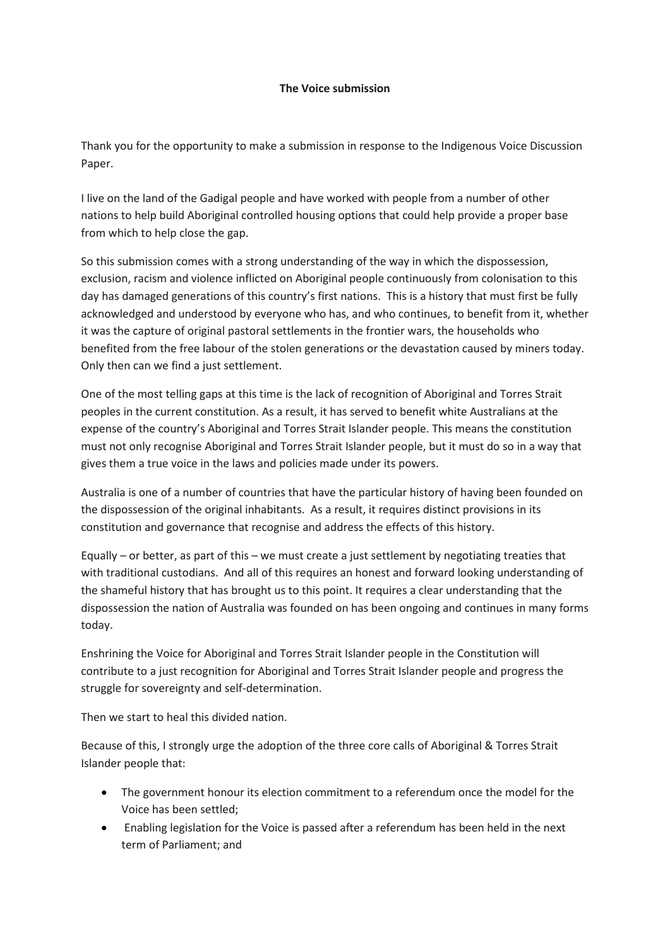## **The Voice submission**

Thank you for the opportunity to make a submission in response to the Indigenous Voice Discussion Paper.

I live on the land of the Gadigal people and have worked with people from a number of other nations to help build Aboriginal controlled housing options that could help provide a proper base from which to help close the gap.

So this submission comes with a strong understanding of the way in which the dispossession, exclusion, racism and violence inflicted on Aboriginal people continuously from colonisation to this day has damaged generations of this country's first nations. This is a history that must first be fully acknowledged and understood by everyone who has, and who continues, to benefit from it, whether it was the capture of original pastoral settlements in the frontier wars, the households who benefited from the free labour of the stolen generations or the devastation caused by miners today. Only then can we find a just settlement.

One of the most telling gaps at this time is the lack of recognition of Aboriginal and Torres Strait peoples in the current constitution. As a result, it has served to benefit white Australians at the expense of the country's Aboriginal and Torres Strait Islander people. This means the constitution must not only recognise Aboriginal and Torres Strait Islander people, but it must do so in a way that gives them a true voice in the laws and policies made under its powers.

Australia is one of a number of countries that have the particular history of having been founded on the dispossession of the original inhabitants. As a result, it requires distinct provisions in its constitution and governance that recognise and address the effects of this history.

Equally – or better, as part of this – we must create a just settlement by negotiating treaties that with traditional custodians. And all of this requires an honest and forward looking understanding of the shameful history that has brought us to this point. It requires a clear understanding that the dispossession the nation of Australia was founded on has been ongoing and continues in many forms today.

Enshrining the Voice for Aboriginal and Torres Strait Islander people in the Constitution will contribute to a just recognition for Aboriginal and Torres Strait Islander people and progress the struggle for sovereignty and self-determination.

Then we start to heal this divided nation.

Because of this, I strongly urge the adoption of the three core calls of Aboriginal & Torres Strait Islander people that:

- The government honour its election commitment to a referendum once the model for the Voice has been settled;
- Enabling legislation for the Voice is passed after a referendum has been held in the next term of Parliament; and